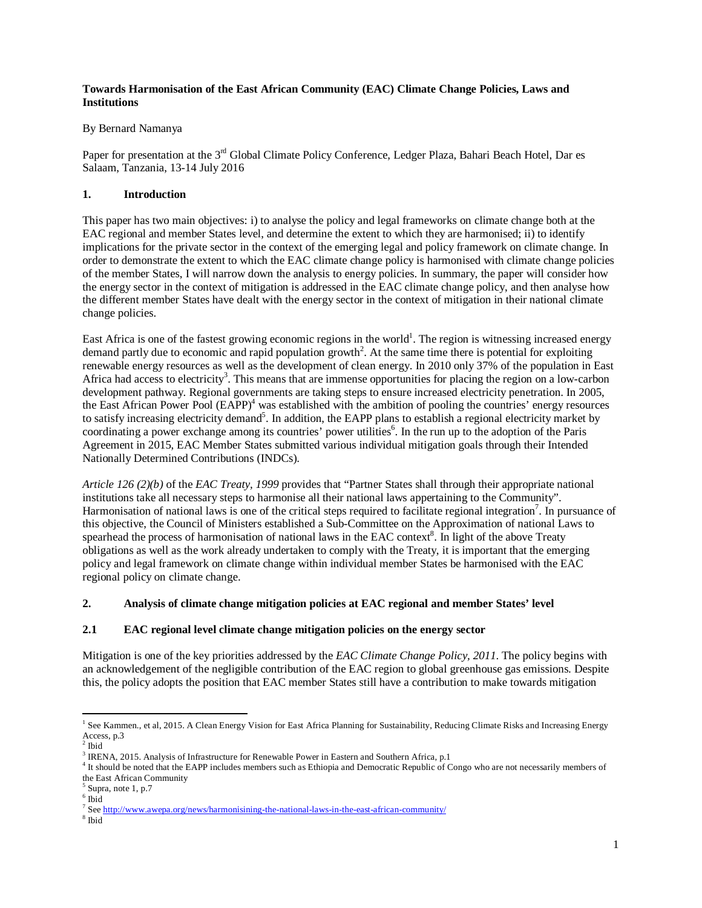### **Towards Harmonisation of the East African Community (EAC) Climate Change Policies, Laws and Institutions**

## By Bernard Namanya

Paper for presentation at the 3<sup>rd</sup> Global Climate Policy Conference, Ledger Plaza, Bahari Beach Hotel, Dar es Salaam, Tanzania, 13-14 July 2016

## **1. Introduction**

This paper has two main objectives: i) to analyse the policy and legal frameworks on climate change both at the EAC regional and member States level, and determine the extent to which they are harmonised; ii) to identify implications for the private sector in the context of the emerging legal and policy framework on climate change. In order to demonstrate the extent to which the EAC climate change policy is harmonised with climate change policies of the member States, I will narrow down the analysis to energy policies. In summary, the paper will consider how the energy sector in the context of mitigation is addressed in the EAC climate change policy, and then analyse how the different member States have dealt with the energy sector in the context of mitigation in their national climate change policies.

East Africa is one of the fastest growing economic regions in the world<sup>1</sup>. The region is witnessing increased energy demand partly due to economic and rapid population growth<sup>2</sup>. At the same time there is potential for exploiting renewable energy resources as well as the development of clean energy. In 2010 only 37% of the population in East Africa had access to electricity<sup>3</sup>. This means that are immense opportunities for placing the region on a low-carbon development pathway. Regional governments are taking steps to ensure increased electricity penetration. In 2005, the East African Power Pool  $(EAPP)^4$  was established with the ambition of pooling the countries' energy resources to satisfy increasing electricity demand<sup>5</sup>. In addition, the EAPP plans to establish a regional electricity market by coordinating a power exchange among its countries' power utilities<sup>6</sup>. In the run up to the adoption of the Paris Agreement in 2015, EAC Member States submitted various individual mitigation goals through their Intended Nationally Determined Contributions (INDCs).

*Article 126 (2)(b)* of the *EAC Treaty, 1999* provides that "Partner States shall through their appropriate national institutions take all necessary steps to harmonise all their national laws appertaining to the Community". Harmonisation of national laws is one of the critical steps required to facilitate regional integration<sup>7</sup>. In pursuance of this objective, the Council of Ministers established a Sub-Committee on the Approximation of national Laws to spearhead the process of harmonisation of national laws in the EAC context<sup>8</sup>. In light of the above Treaty obligations as well as the work already undertaken to comply with the Treaty, it is important that the emerging policy and legal framework on climate change within individual member States be harmonised with the EAC regional policy on climate change.

# **2. Analysis of climate change mitigation policies at EAC regional and member States' level**

# **2.1 EAC regional level climate change mitigation policies on the energy sector**

Mitigation is one of the key priorities addressed by the *EAC Climate Change Policy, 2011*. The policy begins with an acknowledgement of the negligible contribution of the EAC region to global greenhouse gas emissions. Despite this, the policy adopts the position that EAC member States still have a contribution to make towards mitigation

 1 See Kammen., et al, 2015. A Clean Energy Vision for East Africa Planning for Sustainability, Reducing Climate Risks and Increasing Energy Access, p.3

 $2$  Ibid

<sup>&</sup>lt;sup>3</sup> IRENA, 2015. Analysis of Infrastructure for Renewable Power in Eastern and Southern Africa, p.1

<sup>&</sup>lt;sup>4</sup> It should be noted that the EAPP includes members such as Ethiopia and Democratic Republic of Congo who are not necessarily members of the East African Community

<sup>&</sup>lt;sup>5</sup> Supra, note 1, p.7

<sup>6</sup> Ibid

<sup>&</sup>lt;sup>7</sup> See http://www.awepa.org/news/harmonisining-the-national-laws-in-the-east-african-community/

<sup>8</sup> Ibid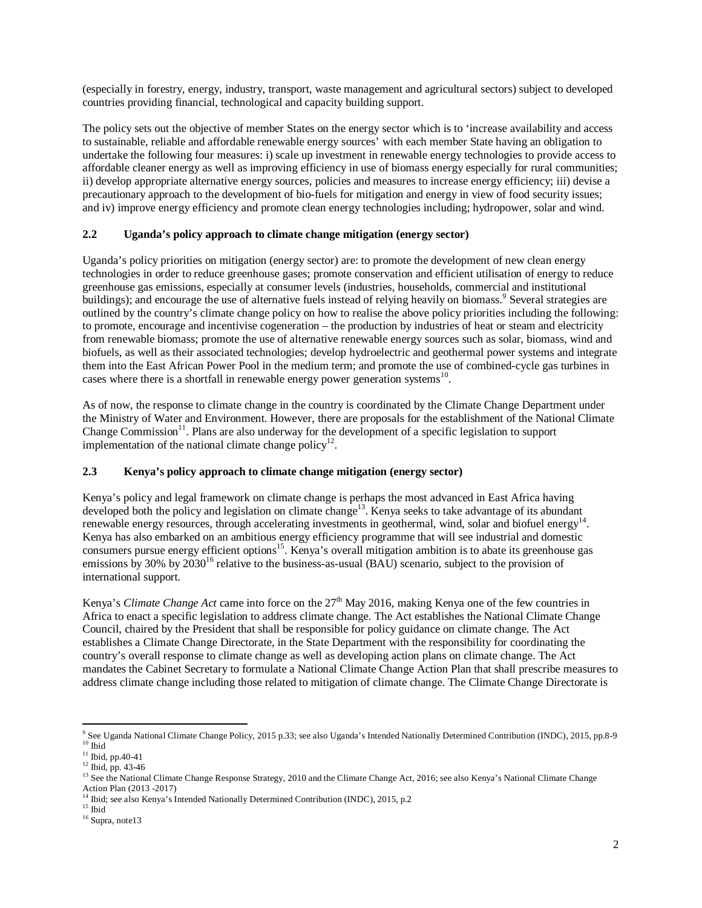(especially in forestry, energy, industry, transport, waste management and agricultural sectors) subject to developed countries providing financial, technological and capacity building support.

The policy sets out the objective of member States on the energy sector which is to 'increase availability and access to sustainable, reliable and affordable renewable energy sources' with each member State having an obligation to undertake the following four measures: i) scale up investment in renewable energy technologies to provide access to affordable cleaner energy as well as improving efficiency in use of biomass energy especially for rural communities; ii) develop appropriate alternative energy sources, policies and measures to increase energy efficiency; iii) devise a precautionary approach to the development of bio-fuels for mitigation and energy in view of food security issues; and iv) improve energy efficiency and promote clean energy technologies including; hydropower, solar and wind.

### **2.2 Uganda's policy approach to climate change mitigation (energy sector)**

Uganda's policy priorities on mitigation (energy sector) are: to promote the development of new clean energy technologies in order to reduce greenhouse gases; promote conservation and efficient utilisation of energy to reduce greenhouse gas emissions, especially at consumer levels (industries, households, commercial and institutional buildings); and encourage the use of alternative fuels instead of relying heavily on biomass.<sup>9</sup> Several strategies are outlined by the country's climate change policy on how to realise the above policy priorities including the following: to promote, encourage and incentivise cogeneration – the production by industries of heat or steam and electricity from renewable biomass; promote the use of alternative renewable energy sources such as solar, biomass, wind and biofuels, as well as their associated technologies; develop hydroelectric and geothermal power systems and integrate them into the East African Power Pool in the medium term; and promote the use of combined-cycle gas turbines in cases where there is a shortfall in renewable energy power generation systems $^{10}$ .

As of now, the response to climate change in the country is coordinated by the Climate Change Department under the Ministry of Water and Environment. However, there are proposals for the establishment of the National Climate Change Commission<sup>11</sup>. Plans are also underway for the development of a specific legislation to support implementation of the national climate change policy<sup>12</sup>.

#### **2.3 Kenya's policy approach to climate change mitigation (energy sector)**

Kenya's policy and legal framework on climate change is perhaps the most advanced in East Africa having developed both the policy and legislation on climate change<sup>13</sup>. Kenya seeks to take advantage of its abundant renewable energy resources, through accelerating investments in geothermal, wind, solar and biofuel energy<sup>14</sup>. Kenya has also embarked on an ambitious energy efficiency programme that will see industrial and domestic consumers pursue energy efficient options<sup>15</sup>. Kenya's overall mitigation ambition is to abate its greenhouse gas emissions by  $30\%$  by  $2030^{16}$  relative to the business-as-usual (BAU) scenario, subject to the provision of international support.

Kenya's *Climate Change Act* came into force on the 27<sup>th</sup> May 2016, making Kenya one of the few countries in Africa to enact a specific legislation to address climate change. The Act establishes the National Climate Change Council, chaired by the President that shall be responsible for policy guidance on climate change. The Act establishes a Climate Change Directorate, in the State Department with the responsibility for coordinating the country's overall response to climate change as well as developing action plans on climate change. The Act mandates the Cabinet Secretary to formulate a National Climate Change Action Plan that shall prescribe measures to address climate change including those related to mitigation of climate change. The Climate Change Directorate is

 $\overline{a}$ 9 See Uganda National Climate Change Policy, 2015 p.33; see also Uganda's Intended Nationally Determined Contribution (INDC), 2015, pp.8-9  $^{\rm 10}$ Ibid

 $11$  Ibid, pp.40-41

<sup>12</sup> Ibid, pp. 43-46

<sup>&</sup>lt;sup>13</sup> See the National Climate Change Response Strategy, 2010 and the Climate Change Act, 2016; see also Kenya's National Climate Change Action Plan (2013 -2017)

<sup>14</sup> Ibid; see also Kenya's Intended Nationally Determined Contribution (INDC), 2015, p.2

 $15$  Ibid

<sup>&</sup>lt;sup>16</sup> Supra, note13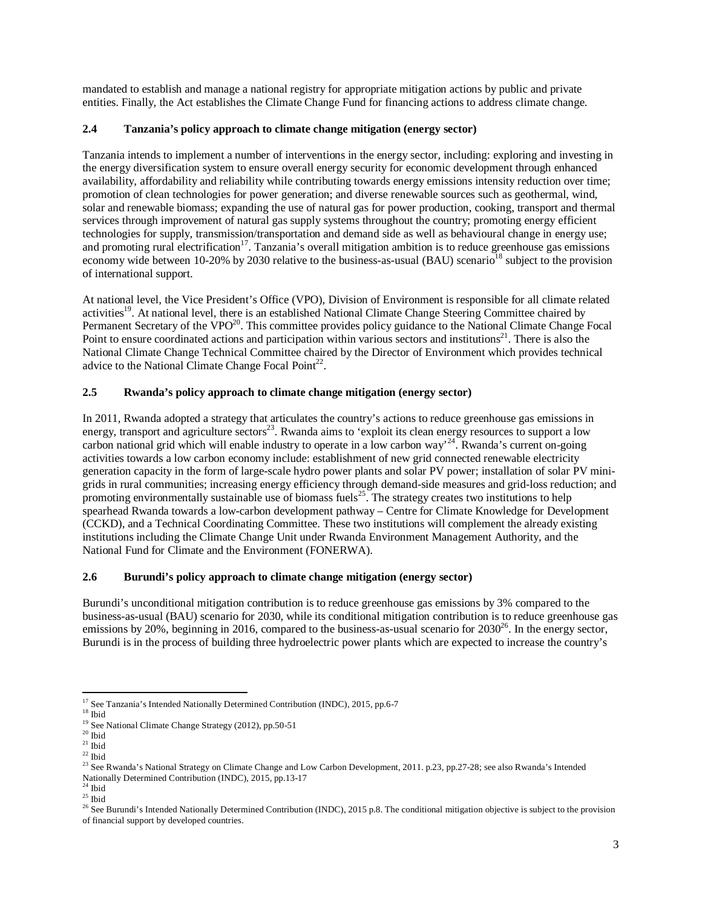mandated to establish and manage a national registry for appropriate mitigation actions by public and private entities. Finally, the Act establishes the Climate Change Fund for financing actions to address climate change.

### **2.4 Tanzania's policy approach to climate change mitigation (energy sector)**

Tanzania intends to implement a number of interventions in the energy sector, including: exploring and investing in the energy diversification system to ensure overall energy security for economic development through enhanced availability, affordability and reliability while contributing towards energy emissions intensity reduction over time; promotion of clean technologies for power generation; and diverse renewable sources such as geothermal, wind, solar and renewable biomass; expanding the use of natural gas for power production, cooking, transport and thermal services through improvement of natural gas supply systems throughout the country; promoting energy efficient technologies for supply, transmission/transportation and demand side as well as behavioural change in energy use; and promoting rural electrification<sup>17</sup>. Tanzania's overall mitigation ambition is to reduce greenhouse gas emissions economy wide between 10-20% by 2030 relative to the business-as-usual (BAU) scenario<sup>18</sup> subject to the provision of international support.

At national level, the Vice President's Office (VPO), Division of Environment is responsible for all climate related activities<sup>19</sup>. At national level, there is an established National Climate Change Steering Committee chaired by Permanent Secretary of the VPO<sup>20</sup>. This committee provides policy guidance to the National Climate Change Focal Point to ensure coordinated actions and participation within various sectors and institutions $21$ . There is also the National Climate Change Technical Committee chaired by the Director of Environment which provides technical advice to the National Climate Change Focal Point $^{22}$ .

### **2.5 Rwanda's policy approach to climate change mitigation (energy sector)**

In 2011, Rwanda adopted a strategy that articulates the country's actions to reduce greenhouse gas emissions in energy, transport and agriculture sectors<sup>23</sup>. Rwanda aims to 'exploit its clean energy resources to support a low carbon national grid which will enable industry to operate in a low carbon way<sup>24</sup>. Rwanda's current on-going activities towards a low carbon economy include: establishment of new grid connected renewable electricity generation capacity in the form of large-scale hydro power plants and solar PV power; installation of solar PV minigrids in rural communities; increasing energy efficiency through demand-side measures and grid-loss reduction; and promoting environmentally sustainable use of biomass fuels<sup>25</sup>. The strategy creates two institutions to help spearhead Rwanda towards a low-carbon development pathway – Centre for Climate Knowledge for Development (CCKD), and a Technical Coordinating Committee. These two institutions will complement the already existing institutions including the Climate Change Unit under Rwanda Environment Management Authority, and the National Fund for Climate and the Environment (FONERWA).

# **2.6 Burundi's policy approach to climate change mitigation (energy sector)**

Burundi's unconditional mitigation contribution is to reduce greenhouse gas emissions by 3% compared to the business-as-usual (BAU) scenario for 2030, while its conditional mitigation contribution is to reduce greenhouse gas emissions by 20%, beginning in 2016, compared to the business-as-usual scenario for  $2030^{26}$ . In the energy sector, Burundi is in the process of building three hydroelectric power plants which are expected to increase the country's

 $\overline{\phantom{a}}$ <sup>17</sup> See Tanzania's Intended Nationally Determined Contribution (INDC), 2015, pp.6-7

 $^{\rm 18}$ Ibid

<sup>&</sup>lt;sup>19</sup> See National Climate Change Strategy (2012), pp.50-51

 $^{\rm 20}$ Ibid

 $21$  Ibid

 $^{22}$ Ibid

<sup>&</sup>lt;sup>23</sup> See Rwanda's National Strategy on Climate Change and Low Carbon Development, 2011. p.23, pp.27-28; see also Rwanda's Intended Nationally Determined Contribution (INDC), 2015, pp.13-17

 $^{24}$  Ibid

 $^{25}$  Ibid

<sup>&</sup>lt;sup>26</sup> See Burundi's Intended Nationally Determined Contribution (INDC), 2015 p.8. The conditional mitigation objective is subject to the provision of financial support by developed countries.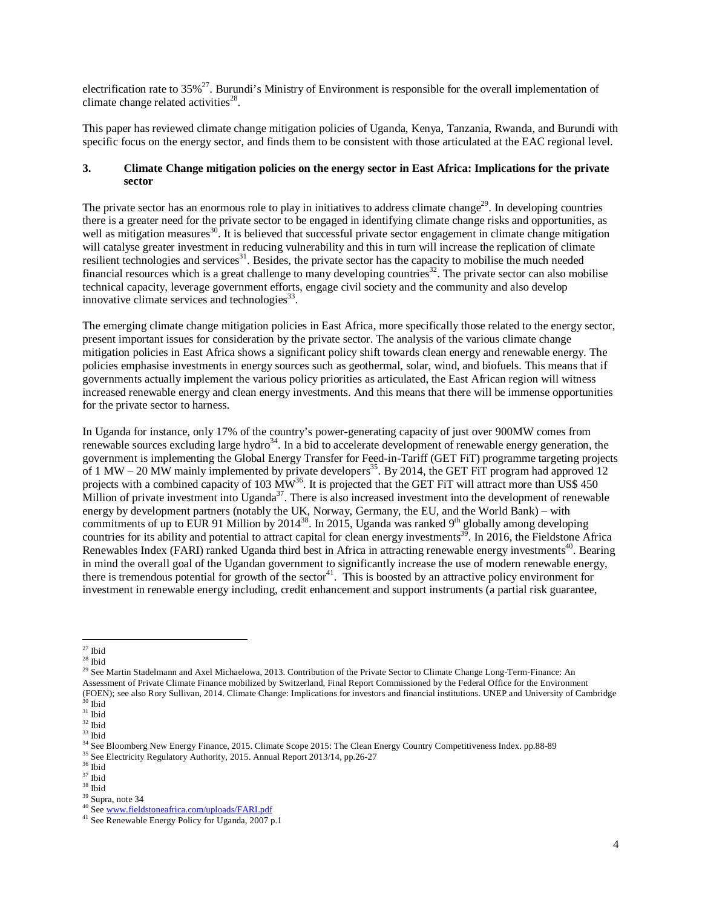electrification rate to 35%<sup>27</sup>. Burundi's Ministry of Environment is responsible for the overall implementation of climate change related activities $^{28}$ .

This paper has reviewed climate change mitigation policies of Uganda, Kenya, Tanzania, Rwanda, and Burundi with specific focus on the energy sector, and finds them to be consistent with those articulated at the EAC regional level.

#### **3. Climate Change mitigation policies on the energy sector in East Africa: Implications for the private sector**

The private sector has an enormous role to play in initiatives to address climate change<sup>29</sup>. In developing countries there is a greater need for the private sector to be engaged in identifying climate change risks and opportunities, as well as mitigation measures<sup>30</sup>. It is believed that successful private sector engagement in climate change mitigation will catalyse greater investment in reducing vulnerability and this in turn will increase the replication of climate resilient technologies and services<sup>31</sup>. Besides, the private sector has the capacity to mobilise the much needed financial resources which is a great challenge to many developing countries<sup>32</sup>. The private sector can also mobilise technical capacity, leverage government efforts, engage civil society and the community and also develop innovative climate services and technologies $^{33}$ .

The emerging climate change mitigation policies in East Africa, more specifically those related to the energy sector, present important issues for consideration by the private sector. The analysis of the various climate change mitigation policies in East Africa shows a significant policy shift towards clean energy and renewable energy. The policies emphasise investments in energy sources such as geothermal, solar, wind, and biofuels. This means that if governments actually implement the various policy priorities as articulated, the East African region will witness increased renewable energy and clean energy investments. And this means that there will be immense opportunities for the private sector to harness.

In Uganda for instance, only 17% of the country's power-generating capacity of just over 900MW comes from renewable sources excluding large hydro<sup>34</sup>. In a bid to accelerate development of renewable energy generation, the government is implementing the Global Energy Transfer for Feed-in-Tariff (GET FiT) programme targeting projects of 1 MW – 20 MW mainly implemented by private developers<sup>35</sup>. By 2014, the GET FiT program had approved 12 projects with a combined capacity of 103 MW<sup>36</sup>. It is projected that the GET FiT will attract more than US\$ 450 Million of private investment into Uganda<sup>37</sup>. There is also increased investment into the development of renewable energy by development partners (notably the UK, Norway, Germany, the EU, and the World Bank) – with commitments of up to EUR 91 Million by 2014<sup>38</sup>. In 2015, Uganda was ranked 9<sup>th</sup> globally among developing countries for its ability and potential to attract capital for clean energy investments<sup>35</sup>. In 2016, the Fieldstone Africa Renewables Index (FARI) ranked Uganda third best in Africa in attracting renewable energy investments<sup>40</sup>. Bearing in mind the overall goal of the Ugandan government to significantly increase the use of modern renewable energy, there is tremendous potential for growth of the sector $41$ . This is boosted by an attractive policy environment for investment in renewable energy including, credit enhancement and support instruments (a partial risk guarantee,

<sup>29</sup> See Martin Stadelmann and Axel Michaelowa, 2013. Contribution of the Private Sector to Climate Change Long-Term-Finance: An Assessment of Private Climate Finance mobilized by Switzerland, Final Report Commissioned by the Federal Office for the Environment (FOEN); see also Rory Sullivan, 2014. Climate Change: Implications for investors and financial institutions. UNEP and University of Cambridge  $30$  Ibid

 $\overline{\phantom{a}}$  $27$  Ibid

 $28$  Ibid

 $^{\rm 31}$ Ibid

 $^{\rm 32}$ Ibid

 $^{\rm 33}$  Ibid

<sup>&</sup>lt;sup>34</sup> See Bloomberg New Energy Finance, 2015. Climate Scope 2015: The Clean Energy Country Competitiveness Index. pp.88-89

<sup>&</sup>lt;sup>35</sup> See Electricity Regulatory Authority, 2015. Annual Report 2013/14, pp.26-27

 $^{\rm 36}$ Ibid

 $37$  Ibid

 $^\mathrm{38}$  Ibid

<sup>39</sup> Supra, note 34

<sup>&</sup>lt;sup>40</sup> See www.fieldstoneafrica.com/uploads/FARI.pdf

<sup>&</sup>lt;sup>41</sup> See Renewable Energy Policy for Uganda, 2007 p.1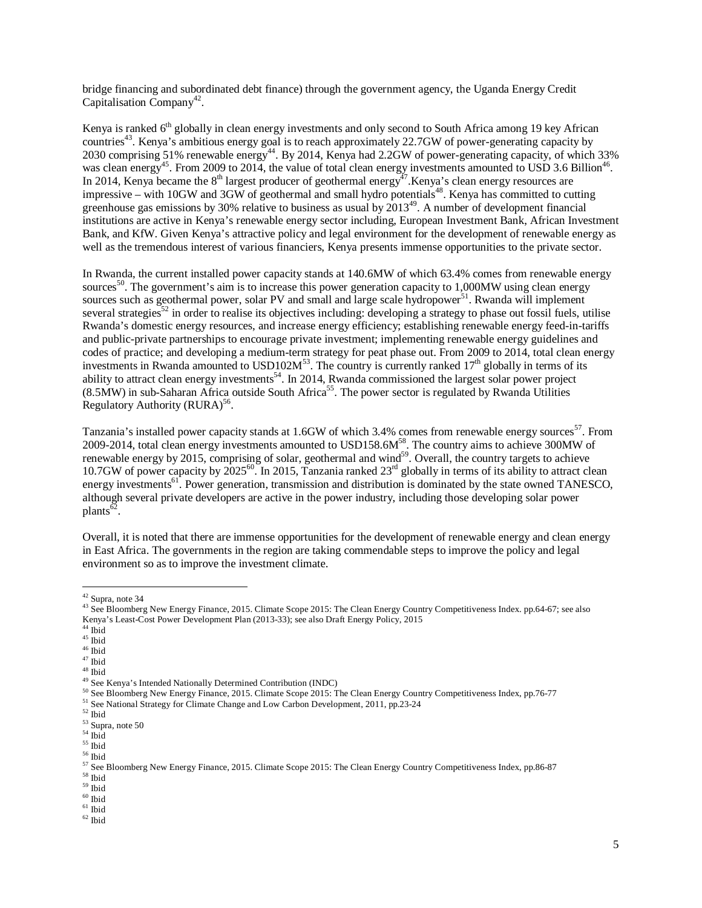bridge financing and subordinated debt finance) through the government agency, the Uganda Energy Credit Capitalisation Company<sup>42</sup>.

Kenya is ranked  $6<sup>th</sup>$  globally in clean energy investments and only second to South Africa among 19 key African countries<sup>43</sup>. Kenya's ambitious energy goal is to reach approximately 22.7GW of power-generating capacity by 2030 comprising 51% renewable energy<sup>44</sup>. By 2014, Kenya had 2.2GW of power-generating capacity, of which 33% was clean energy<sup>45</sup>. From 2009 to 2014, the value of total clean energy investments amounted to USD 3.6 Billion<sup>46</sup>. In 2014, Kenya became the  $8<sup>th</sup>$  largest producer of geothermal energy<sup>47</sup>. Kenya's clean energy resources are impressive – with 10GW and 3GW of geothermal and small hydro potentials<sup>48</sup>. Kenya has committed to cutting greenhouse gas emissions by 30% relative to business as usual by  $2013^{49}$ . A number of development financial institutions are active in Kenya's renewable energy sector including, European Investment Bank, African Investment Bank, and KfW. Given Kenya's attractive policy and legal environment for the development of renewable energy as well as the tremendous interest of various financiers, Kenya presents immense opportunities to the private sector.

In Rwanda, the current installed power capacity stands at 140.6MW of which 63.4% comes from renewable energy sources<sup>50</sup>. The government's aim is to increase this power generation capacity to 1,000MW using clean energy sources such as geothermal power, solar PV and small and large scale hydropower $51$ . Rwanda will implement several strategies<sup>52</sup> in order to realise its objectives including: developing a strategy to phase out fossil fuels, utilise Rwanda's domestic energy resources, and increase energy efficiency; establishing renewable energy feed-in-tariffs and public-private partnerships to encourage private investment; implementing renewable energy guidelines and codes of practice; and developing a medium-term strategy for peat phase out. From 2009 to 2014, total clean energy investments in Rwanda amounted to USD102 $M^{53}$ . The country is currently ranked 17<sup>th</sup> globally in terms of its ability to attract clean energy investments<sup>54</sup>. In 2014, Rwanda commissioned the largest solar power project (8.5MW) in sub-Saharan Africa outside South Africa<sup>55</sup>. The power sector is regulated by Rwanda Utilities Regulatory Authority (RURA)<sup>56</sup>.

Tanzania's installed power capacity stands at 1.6GW of which 3.4% comes from renewable energy sources<sup>57</sup>. From 2009-2014, total clean energy investments amounted to USD158.6M<sup>58</sup>. The country aims to achieve 300MW of renewable energy by 2015, comprising of solar, geothermal and wind<sup>59</sup>. Overall, the country targets to achieve 10.7GW of power capacity by  $2025^{60}$ . In 2015, Tanzania ranked  $23^{nd}$  globally in terms of its ability to attract clean energy investments<sup>61</sup>. Power generation, transmission and distribution is dominated by the state owned TANESCO, although several private developers are active in the power industry, including those developing solar power plants<sup>62</sup>.

Overall, it is noted that there are immense opportunities for the development of renewable energy and clean energy in East Africa. The governments in the region are taking commendable steps to improve the policy and legal environment so as to improve the investment climate.

 $42$  Supra, note 34

 $\overline{a}$ 

 $^{\rm 58}$ Ibid

 $^{\rm 60}$ Ibid

<sup>&</sup>lt;sup>43</sup> See Bloomberg New Energy Finance, 2015. Climate Scope 2015: The Clean Energy Country Competitiveness Index. pp.64-67; see also Kenya's Least-Cost Power Development Plan (2013-33); see also Draft Energy Policy, 2015

<sup>44</sup> Ibid

 $^{\rm 45}$ Ibid

 $\,$   $^{46}$  Ibid

<sup>47</sup> Ibid

 $^{\rm 48}$ Ibid

<sup>&</sup>lt;sup>49</sup> See Kenya's Intended Nationally Determined Contribution (INDC)

<sup>50</sup> See Bloomberg New Energy Finance, 2015. Climate Scope 2015: The Clean Energy Country Competitiveness Index, pp.76-77

<sup>51</sup> See National Strategy for Climate Change and Low Carbon Development, 2011, pp.23-24

 $^{\rm 52}$ Ibid

 $\,$  53 Supra, note 50  $\,$ 

 $^{54}$ Ibid

<sup>55</sup> Ibid

 $^{\rm 56}$ Ibid

<sup>&</sup>lt;sup>57</sup> See Bloomberg New Energy Finance, 2015. Climate Scope 2015: The Clean Energy Country Competitiveness Index, pp.86-87

 $^{\rm 59}$  Ibid

 $^{\rm 61}$ Ibid  $^{62}$  Ibid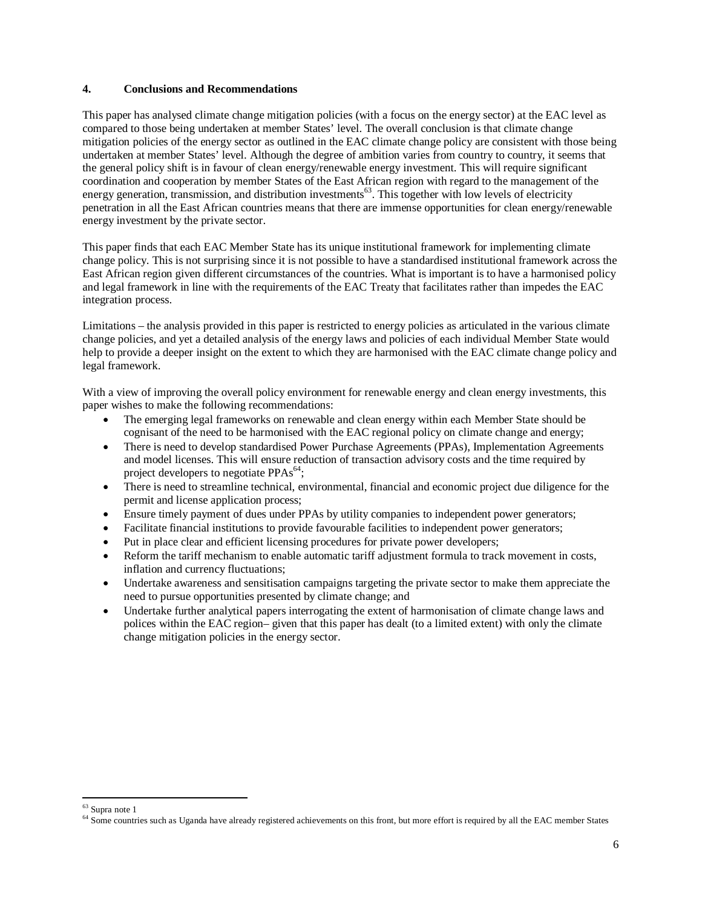#### **4. Conclusions and Recommendations**

This paper has analysed climate change mitigation policies (with a focus on the energy sector) at the EAC level as compared to those being undertaken at member States' level. The overall conclusion is that climate change mitigation policies of the energy sector as outlined in the EAC climate change policy are consistent with those being undertaken at member States' level. Although the degree of ambition varies from country to country, it seems that the general policy shift is in favour of clean energy/renewable energy investment. This will require significant coordination and cooperation by member States of the East African region with regard to the management of the energy generation, transmission, and distribution investments<sup>63</sup>. This together with low levels of electricity penetration in all the East African countries means that there are immense opportunities for clean energy/renewable energy investment by the private sector.

This paper finds that each EAC Member State has its unique institutional framework for implementing climate change policy. This is not surprising since it is not possible to have a standardised institutional framework across the East African region given different circumstances of the countries. What is important is to have a harmonised policy and legal framework in line with the requirements of the EAC Treaty that facilitates rather than impedes the EAC integration process.

Limitations – the analysis provided in this paper is restricted to energy policies as articulated in the various climate change policies, and yet a detailed analysis of the energy laws and policies of each individual Member State would help to provide a deeper insight on the extent to which they are harmonised with the EAC climate change policy and legal framework.

With a view of improving the overall policy environment for renewable energy and clean energy investments, this paper wishes to make the following recommendations:

- The emerging legal frameworks on renewable and clean energy within each Member State should be cognisant of the need to be harmonised with the EAC regional policy on climate change and energy;
- There is need to develop standardised Power Purchase Agreements (PPAs), Implementation Agreements and model licenses. This will ensure reduction of transaction advisory costs and the time required by project developers to negotiate  $PPAs<sup>64</sup>$ ;
- There is need to streamline technical, environmental, financial and economic project due diligence for the permit and license application process;
- Ensure timely payment of dues under PPAs by utility companies to independent power generators;
- Facilitate financial institutions to provide favourable facilities to independent power generators;
- Put in place clear and efficient licensing procedures for private power developers;
- Reform the tariff mechanism to enable automatic tariff adjustment formula to track movement in costs, inflation and currency fluctuations;
- Undertake awareness and sensitisation campaigns targeting the private sector to make them appreciate the need to pursue opportunities presented by climate change; and
- Undertake further analytical papers interrogating the extent of harmonisation of climate change laws and polices within the EAC region– given that this paper has dealt (to a limited extent) with only the climate change mitigation policies in the energy sector.

 $\overline{\phantom{a}}$ 

<sup>&</sup>lt;sup>63</sup> Supra note 1

<sup>&</sup>lt;sup>64</sup> Some countries such as Uganda have already registered achievements on this front, but more effort is required by all the EAC member States